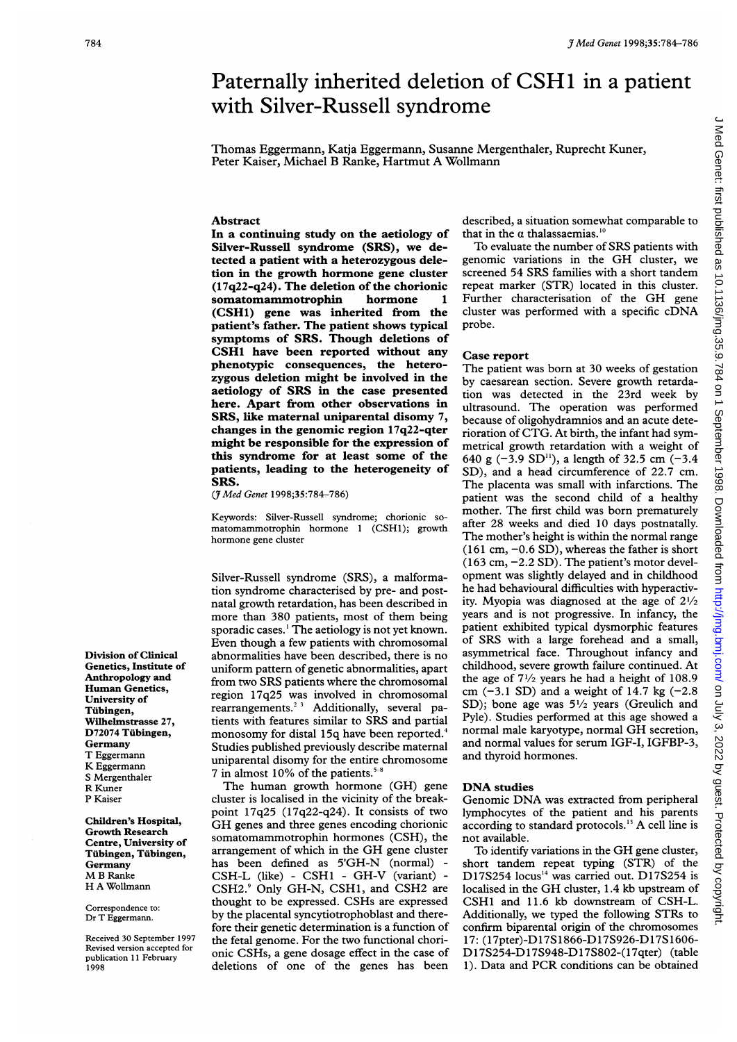# <sup>3 Med Genet 1998;35:784-786</sup><br>Paternally inherited deletion of CSH1 in a patient Paternally inherited deletion of CSH1 in <sup>a</sup> patient with Silver-Russell syndrome

Thomas Eggermann, Katja Eggermann, Susanne Mergenthaler, Ruprecht Kuner, Peter Kaiser, Michael B Ranke, Hartmut A Wollmann

## Abstract

In a continuing study on the aetiology of Silver-Russell syndrome (SRS), we detected a patient with a heterozygous deletion in the growth hormone gene cluster (17q22-q24). The deletion of the chorionic somatomammotrophin hormone <sup>1</sup> (CSHl) gene was inherited from the patient's father. The patient shows typical symptoms of SRS. Though deletions of CSH1 have been reported without any phenotypic consequences, the heterozygous deletion might be involved in the aetiology of SRS in the case presented here. Apart from other observations in SRS, like maternal uniparental disomy 7, changes in the genomic region 17q22-qter might be responsible for the expression of this syndrome for at least some of the patients, leading to the heterogeneity of SRS.

(JMed Genet 1998;35:784-786)

Keywords: Silver-Russell syndrome; chorionic somatomammotrophin hormone <sup>1</sup> (CSH1); growth hormone gene cluster

Silver-Russell syndrome (SRS), a malformation syndrome characterised by pre- and postnatal growth retardation, has been described in more than 380 patients, most of them being sporadic cases.' The aetiology is not yet known. Even though a few patients with chromosomal abnormalities have been described, there is no uniform pattern of genetic abnormalities, apart from two SRS patients where the chromosomal region 17q25 was involved in chromosomal rearrangements.<sup> $23$ </sup> Additionally, several patients with features similar to SRS and partial monosomy for distal 15q have been reported.<sup>4</sup> Studies published previously describe maternal uniparental disomy for the entire chromosome 7 in almost 10% of the patients.<sup>5</sup>

The human growth hormone (GH) gene cluster is localised in the vicinity of the breakpoint 17q25 (17q22-q24). It consists of two GH genes and three genes encoding chorionic somatomammotrophin hormones (CSH), the arrangement of which in the GH gene cluster has been defined as 5'GH-N (normal) - CSH-L (like) - CSH<sup>1</sup> - GH-V (variant) CSH2.9 Only GH-N, CSH1, and CSH2 are thought to be expressed. CSHs are expressed by the placental syncytiotrophoblast and therefore their genetic determination is a function of the fetal genome. For the two functional chorionic CSHs, a gene dosage effect in the case of deletions of one of the genes has been

described, a situation somewhat comparable to that in the  $\alpha$  thalassaemias.<sup>10</sup>

To evaluate the number of SRS patients with genomic variations in the GH cluster, we screened 54 SRS families with <sup>a</sup> short tandem repeat marker (STR) located in this cluster. Further characterisation of the GH gene cluster was performed with <sup>a</sup> specific cDNA probe.

### Case report

The patient was born at 30 weeks of gestation by caesarean section. Severe growth retardation was detected in the 23rd week by ultrasound. The operation was performed because of oligohydramnios and an acute deterioration of CTG. At birth, the infant had symmetrical growth retardation with a weight of 640 g  $(-3.9 \text{ SD}^{11})$ , a length of 32.5 cm  $(-3.4)$ SD), and a head circumference of 22.7 cm. The placenta was small with infarctions. The patient was the second child of a healthy mother. The first child was born prematurely after 28 weeks and died 10 days postnatally. The mother's height is within the normal range  $(161 \text{ cm}, -0.6 \text{ SD})$ , whereas the father is short (163 cm, -2.2 SD). The patient's motor development was slightly delayed and in childhood he had behavioural difficulties with hyperactivity. Myopia was diagnosed at the age of  $2\frac{1}{2}$ years and is not progressive. In infancy, the patient exhibited typical dysmorphic features of SRS with <sup>a</sup> large forehead and <sup>a</sup> small, asymmetrical face. Throughout infancy and childhood, severe growth failure continued. At the age of  $7\frac{1}{2}$  years he had a height of 108.9 cm  $(-3.1 S_D)$  and a weight of 14.7 kg  $(-2.8$ SD); bone age was  $5\frac{1}{2}$  years (Greulich and Pyle). Studies performed at this age showed a normal male karyotype, normal GH secretion, and normal values for serum IGF-I, IGFBP-3, and thyroid hormones.

# DNA studies

Genomic DNA was extracted from peripheral lymphocytes of the patient and his parents according to standard protocols.'3 A cell line is not available.

To identify variations in the GH gene cluster, short tandem repeat typing (STR) of the D17S254 locus<sup>14</sup> was carried out. D17S254 is localised in the GH cluster, 1.4 kb upstream of CSH1 and 11.6 kb downstream of CSH-L. Additionally, we typed the following STRs to confirm biparental origin of the chromosomes 17: (17pter)-D17S1866-D17S926-D17S1606- D17S254-D17S948-D17S802-(17qter) (table 1). Data and PCR conditions can be obtained

Division of Clinical Genetics, Institute of Anthropology and Human Genetics, University of Tubingen, Wilhelmstrasse 27, D72074 Tubingen, Germany T Eggermann K Eggermann S Mergenthaler R Kuner P Kaiser

Children's Hospital, Growth Research Centre, University of Tubingen, Tubingen, Germany M <sup>B</sup> Ranke H A Wollmann

Correspondence to: Dr T Eggermann.

Received 30 September 1997 Revised version accepted for publication 11 February 1998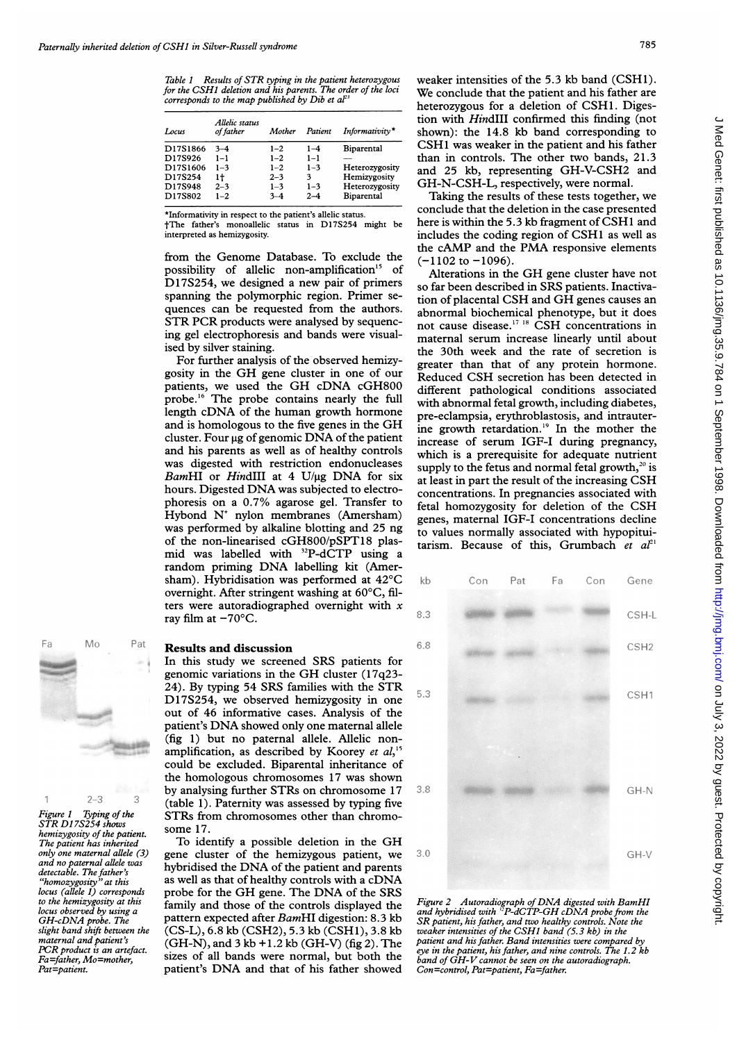Table <sup>1</sup> Results of STR typing in the patient heterozygous for the CSHI deletion and his parents. The order of the loci corresponds to the map published by Dib et  $a^{p_3}$ 

| Locus    | Allelic status<br>of father | Mother  | Patient | Informativity* |
|----------|-----------------------------|---------|---------|----------------|
| D17S1866 | $3 - 4$                     | $1 - 2$ | $1 - 4$ | Biparental     |
| D17S926  | $1 - 1$                     | $1 - 2$ | $1 - 1$ |                |
| D17S1606 | $1 - 3$                     | $1 - 2$ | $1 - 3$ | Heterozygosity |
| D17S254  | 1t                          | $2 - 3$ | 3       | Hemizvgosity   |
| D17S948  | $2 - 3$                     | $1 - 3$ | $1 - 3$ | Heterozygosity |
| D17S802  | $1 - 2$                     | $3 - 4$ | $2 - 4$ | Biparental     |

\*Informativity in respect to the patient's allelic status. tThe father's monoallelic status in D1 7S254 might be interpreted as hemizygosity.

from the Genome Database. To exclude the possibility of allelic non-amplification"5 of D17S254, we designed a new pair of primers spanning the polymorphic region. Primer sequences can be requested from the authors. STR PCR products were analysed by sequencing gel electrophoresis and bands were visualised by silver staining.

For further analysis of the observed hemizygosity in the GH gene cluster in one of our patients, we used the GH cDNA cGH800 probe.<sup>16</sup> The probe contains nearly the full length cDNA of the human growth hormone and is homologous to the five genes in the GH cluster. Four  $\mu$ g of genomic DNA of the patient and his parents as well as of healthy controls was digested with restriction endonucleases BamHI or HindIII at 4 U/ $\mu$ g DNA for six hours. Digested DNA was subjected to electrophoresis on a 0.7% agarose gel. Transfer to Hybond  $N^+$  nylon membranes (Amersham) was performed by alkaline blotting and 25 ng of the non-linearised cGH800/pSPT18 plasmid was labelled with <sup>32</sup>P-dCTP using a random priming DNA labelling kit (Amersham). Hybridisation was performed at 42"C overnight. After stringent washing at 60°C, filters were autoradiographed overnight with  $x$ ray film at  $-70^{\circ}$ C.



Figure 1 Typing of the STRs from STR D17S254 shows<br>STR D17S254 shows some 17. hemizygosity of the patient.<br>The patient has inherited

In this study we screened SRS patients for genomic variations in the GH cluster (17q23- 24). By typing 54 SRS families with the STR D17S254, we observed hemizygosity in one out of 46 informative cases. Analysis of the patient's DNA showed only one maternal allele (fig 1) but no paternal allele. Allelic nonamplification, as described by Koorey *et al*,<sup>15</sup><br>
could be excluded. Biparental inheritance of<br>
the homologous chromosomes 17 was shown<br>
by analysing further STRs on chromosome 17<br>
(table 1). Paternity was assessed by t could be excluded. Biparental inheritance of the homologous chromosomes 17 was shown by analysing further STRs on chromosome 17 STRs from chromosomes other than chromo-

The patient has inherited To identify a possible deletion in the GH only one maternal allele  $(3)$  gene cluster of the hemizyonus natient we only one maternal allele (3) gene cluster of the hemizygous patient, we and no paternal allele was bybridised the DNA of the patient and parents detectable. The father's second as that of hot detection contract with  $\sum$ and no paternal allele was . . \* of <sup>t</sup> - ^ <sup>&</sup>gt; detectable. The father's hybridised the DNA of the patient and parents  $\frac{u_{\text{reduction}}}{v_{\text{hom}}}\frac{u_{\text{inter}}}{v_{\text{at}}}\frac{v_{\text{at}}}{v_{\text{at}}}\frac{v_{\text{at}}}{v_{\text{at}}}\frac{v_{\text{at}}}{v_{\text{at}}}\frac{v_{\text{at}}}{v_{\text{at}}}\frac{v_{\text{at}}}{v_{\text{at}}}\frac{v_{\text{at}}}{v_{\text{at}}}\frac{v_{\text{at}}}{v_{\text{at}}}\frac{v_{\text{at}}}{v_{\text{at}}}\frac{v_{\text{at}}}{v_{\text{at}}}\frac{v_{\text{at}}}{v_{\text{at}}}\frac{$ locus (allele 1) corresponds<br>to the hemizygosity at this<br>locus observed by using a starting and those of the controls displayed the<br>locus observed by using a to the hemizygosity at this family and those of the controls displayed the locus observed by using a family and those of the controls displayed the GH-cDNA probe. The pattern expected after BamHI digestion: 8.3 kb but is observed by using a pattern expected after BamHI digestion: 8.3 kb<br>GH-cDNA probe. The contract (CS-L), 6.8 kb (CSH2), 5.3 kb (CSH1), 3.8 kb slight band shift between the  $(CS-L)$ , 6.8 kb  $(CSH2)$ , 5.3 kb  $(CSH1)$ , 3.8 kb<br>maternal and patient's  $(GH-N)$ , and 3 kb + 1 2 kb  $(GH-N)$  (fig 2). The maternal and patient's (GH-N), and  $3 \text{ kb} + 1.2 \text{ kb}$  (GH-V) (fig 2). The PCR product is an artefact PCR product is an artefact.<br>Fa=father, Mo=mother, sizes of all bands were normal, but both the  $Fa=father, Mo=mother,$  sizes of all bands were normal, but both the  $Pat=patient$ . patient's DNA and that of his father showed

weaker intensities of the 5.3 kb band (CSH1). We conclude that the patient and his father are heterozygous for a deletion of CSH1. Digestion with HindIII confirmed this finding (not shown): the 14.8 kb band corresponding to CSH1 was weaker in the patient and his father than in controls. The other two bands, 21.3 and 25 kb, representing GH-V-CSH2 and GH-N-CSH-L, respectively, were normal.

Taking the results of these tests together, we conclude that the deletion in the case presented here is within the 5.3 kb fragment of CSH1 and includes the coding region of CSH1 as well as the cAMP and the PMA responsive elements  $(-1102$  to  $-1096)$ .

Alterations in the GH gene cluster have not so far been described in SRS patients. Inactivation of placental CSH and GH genes causes an abnormal biochemical phenotype, but it does not cause disease.'7 <sup>18</sup> CSH concentrations in maternal serum increase linearly until about the 30th week and the rate of secretion is greater than that of any protein hormone. Reduced CSH secretion has been detected in different pathological conditions associated with abnormal fetal growth, including diabetes, pre-eclampsia, erythroblastosis, and intrauterine growth retardation.<sup>19</sup> In the mother the increase of serum IGF-I during pregnancy, which is a prerequisite for adequate nutrient supply to the fetus and normal fetal growth, $20$  is at least in part the result of the increasing CSH concentrations. In pregnancies associated with fetal homozygosity for deletion of the CSH genes, maternal IGF-I concentrations decline to values normally associated with hypopituitarism. Because of this, Grumbach et  $aI^{21}$ 



Figure <sup>2</sup> Autoradiograph of DNA digested with BamHI and hybridised with  $^{17}P\text{-}dCTP\text{-}GHcDNA$  probe from the SR patient, his father, and two healthy controls. Note the weaker intensities of the CSH1 band (5.3 kb) in the patient and his father. Band intensities were compared by eye in the patient, his father, and nine controls. The 1.2 kb band of GH-V cannot be seen on the autoradiograph. Con=control, Pat=patient, Fa=father.